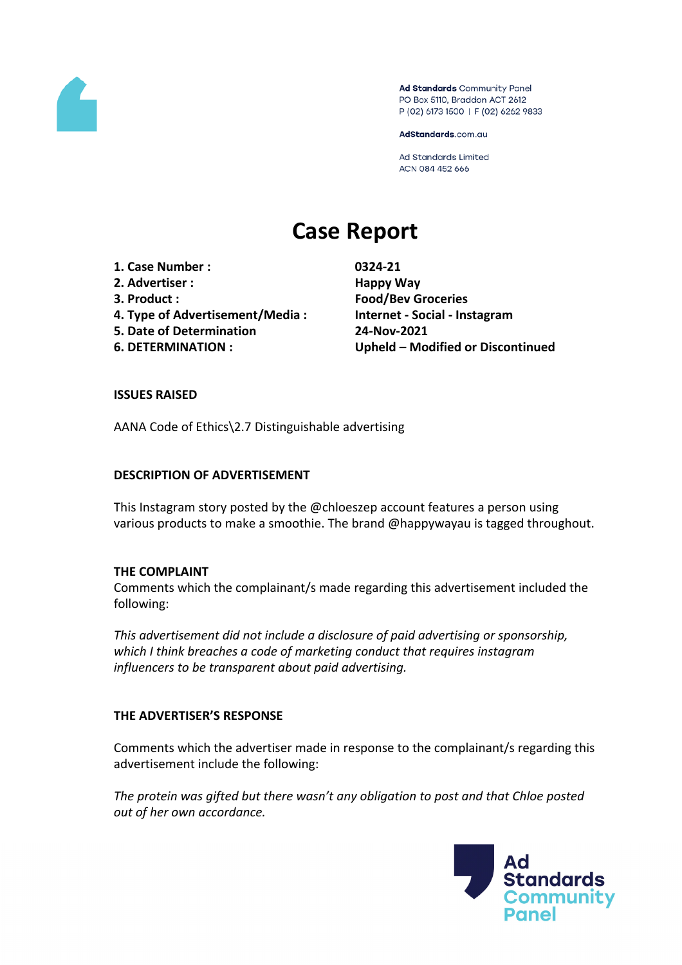

Ad Standards Community Panel PO Box 5110, Braddon ACT 2612 P (02) 6173 1500 | F (02) 6262 9833

AdStandards.com.au

Ad Standards Limited ACN 084 452 666

# **Case Report**

**1. Case Number : 0324-21**

- **2. Advertiser : Happy Way**
- 
- **4. Type of Advertisement/Media : Internet - Social - Instagram**
- **5. Date of Determination 24-Nov-2021**
- 

**3. Product : Food/Bev Groceries 6. DETERMINATION : Upheld – Modified or Discontinued**

### **ISSUES RAISED**

AANA Code of Ethics\2.7 Distinguishable advertising

### **DESCRIPTION OF ADVERTISEMENT**

This Instagram story posted by the @chloeszep account features a person using various products to make a smoothie. The brand @happywayau is tagged throughout.

#### **THE COMPLAINT**

Comments which the complainant/s made regarding this advertisement included the following:

*This advertisement did not include a disclosure of paid advertising or sponsorship, which I think breaches a code of marketing conduct that requires instagram influencers to be transparent about paid advertising.*

# **THE ADVERTISER'S RESPONSE**

Comments which the advertiser made in response to the complainant/s regarding this advertisement include the following:

*The protein was gifted but there wasn't any obligation to post and that Chloe posted out of her own accordance.*

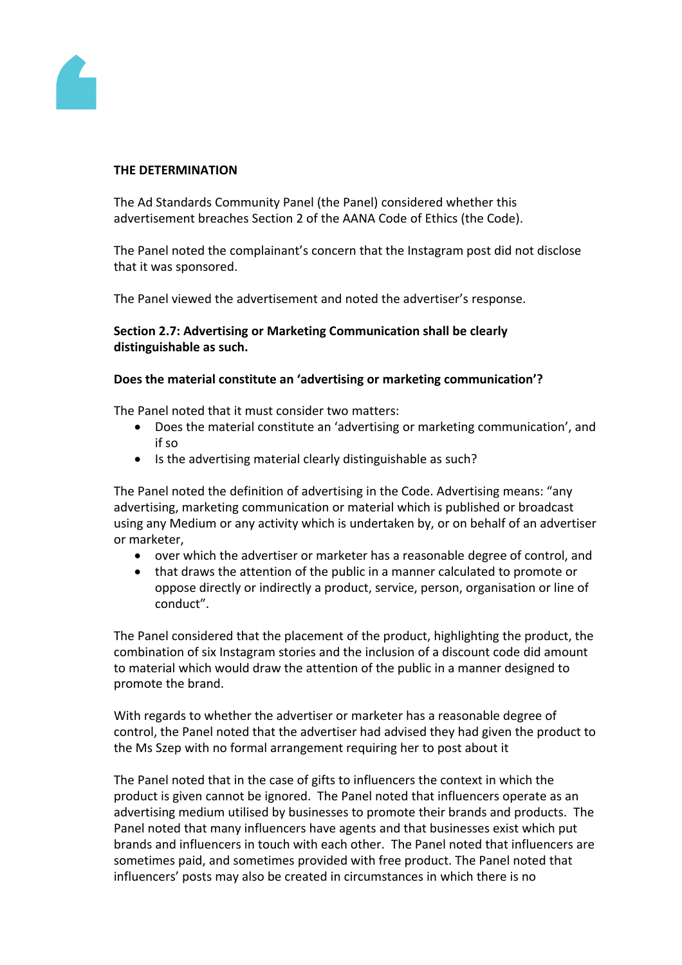

#### **THE DETERMINATION**

The Ad Standards Community Panel (the Panel) considered whether this advertisement breaches Section 2 of the AANA Code of Ethics (the Code).

The Panel noted the complainant's concern that the Instagram post did not disclose that it was sponsored.

The Panel viewed the advertisement and noted the advertiser's response.

#### **Section 2.7: Advertising or Marketing Communication shall be clearly distinguishable as such.**

#### **Does the material constitute an 'advertising or marketing communication'?**

The Panel noted that it must consider two matters:

- Does the material constitute an 'advertising or marketing communication', and if so
- Is the advertising material clearly distinguishable as such?

The Panel noted the definition of advertising in the Code. Advertising means: "any advertising, marketing communication or material which is published or broadcast using any Medium or any activity which is undertaken by, or on behalf of an advertiser or marketer,

- over which the advertiser or marketer has a reasonable degree of control, and
- that draws the attention of the public in a manner calculated to promote or oppose directly or indirectly a product, service, person, organisation or line of conduct".

The Panel considered that the placement of the product, highlighting the product, the combination of six Instagram stories and the inclusion of a discount code did amount to material which would draw the attention of the public in a manner designed to promote the brand.

With regards to whether the advertiser or marketer has a reasonable degree of control, the Panel noted that the advertiser had advised they had given the product to the Ms Szep with no formal arrangement requiring her to post about it

The Panel noted that in the case of gifts to influencers the context in which the product is given cannot be ignored. The Panel noted that influencers operate as an advertising medium utilised by businesses to promote their brands and products. The Panel noted that many influencers have agents and that businesses exist which put brands and influencers in touch with each other. The Panel noted that influencers are sometimes paid, and sometimes provided with free product. The Panel noted that influencers' posts may also be created in circumstances in which there is no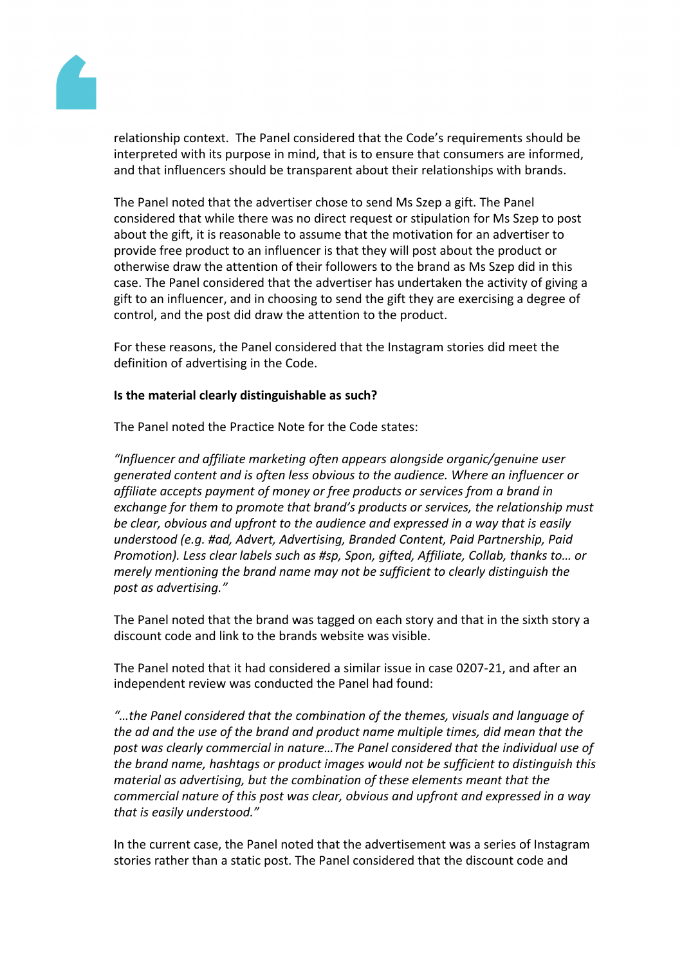

relationship context. The Panel considered that the Code's requirements should be interpreted with its purpose in mind, that is to ensure that consumers are informed, and that influencers should be transparent about their relationships with brands.

The Panel noted that the advertiser chose to send Ms Szep a gift. The Panel considered that while there was no direct request or stipulation for Ms Szep to post about the gift, it is reasonable to assume that the motivation for an advertiser to provide free product to an influencer is that they will post about the product or otherwise draw the attention of their followers to the brand as Ms Szep did in this case. The Panel considered that the advertiser has undertaken the activity of giving a gift to an influencer, and in choosing to send the gift they are exercising a degree of control, and the post did draw the attention to the product.

For these reasons, the Panel considered that the Instagram stories did meet the definition of advertising in the Code.

### **Is the material clearly distinguishable as such?**

The Panel noted the Practice Note for the Code states:

*"Influencer and affiliate marketing often appears alongside organic/genuine user generated content and is often less obvious to the audience. Where an influencer or affiliate accepts payment of money or free products or services from a brand in exchange for them to promote that brand's products or services, the relationship must be clear, obvious and upfront to the audience and expressed in a way that is easily understood (e.g. #ad, Advert, Advertising, Branded Content, Paid Partnership, Paid Promotion). Less clear labels such as #sp, Spon, gifted, Affiliate, Collab, thanks to… or merely mentioning the brand name may not be sufficient to clearly distinguish the post as advertising."*

The Panel noted that the brand was tagged on each story and that in the sixth story a discount code and link to the brands website was visible.

The Panel noted that it had considered a similar issue in case 0207-21, and after an independent review was conducted the Panel had found:

*"…the Panel considered that the combination of the themes, visuals and language of the ad and the use of the brand and product name multiple times, did mean that the post was clearly commercial in nature…The Panel considered that the individual use of the brand name, hashtags or product images would not be sufficient to distinguish this material as advertising, but the combination of these elements meant that the commercial nature of this post was clear, obvious and upfront and expressed in a way that is easily understood."*

In the current case, the Panel noted that the advertisement was a series of Instagram stories rather than a static post. The Panel considered that the discount code and